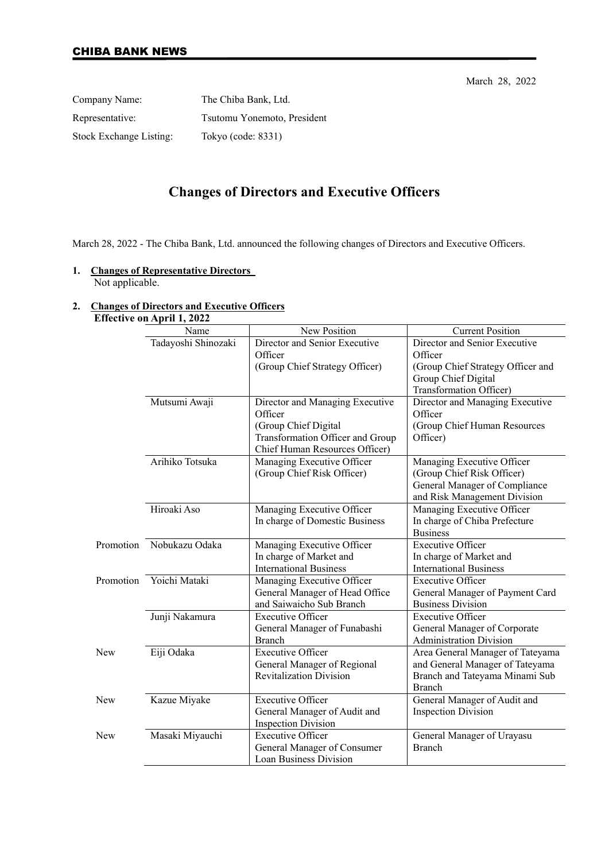March 28, 2022

| Company Name:                  | The Chiba Bank, Ltd.        |
|--------------------------------|-----------------------------|
| Representative:                | Tsutomu Yonemoto, President |
| <b>Stock Exchange Listing:</b> | Tokyo (code: 8331)          |

# **Changes of Directors and Executive Officers**

March 28, 2022 - The Chiba Bank, Ltd. announced the following changes of Directors and Executive Officers.

#### **1. Changes of Representative Directors**  Not applicable.

### **2. Changes of Directors and Executive Officers**

## **Effective on April 1, 2022**

|     | Name                     | New Position                                                                                                                             | <b>Current Position</b>                                                                                                   |
|-----|--------------------------|------------------------------------------------------------------------------------------------------------------------------------------|---------------------------------------------------------------------------------------------------------------------------|
|     | Tadayoshi Shinozaki      | Director and Senior Executive<br>Officer                                                                                                 | Director and Senior Executive<br>Officer                                                                                  |
|     |                          | (Group Chief Strategy Officer)                                                                                                           | (Group Chief Strategy Officer and<br>Group Chief Digital<br>Transformation Officer)                                       |
|     | Mutsumi Awaji            | Director and Managing Executive<br>Officer<br>(Group Chief Digital<br>Transformation Officer and Group<br>Chief Human Resources Officer) | Director and Managing Executive<br>Officer<br>(Group Chief Human Resources<br>Officer)                                    |
|     | Arihiko Totsuka          | Managing Executive Officer<br>(Group Chief Risk Officer)                                                                                 | Managing Executive Officer<br>(Group Chief Risk Officer)<br>General Manager of Compliance<br>and Risk Management Division |
|     | Hiroaki Aso              | Managing Executive Officer<br>In charge of Domestic Business                                                                             | Managing Executive Officer<br>In charge of Chiba Prefecture<br><b>Business</b>                                            |
|     | Promotion Nobukazu Odaka | Managing Executive Officer<br>In charge of Market and<br><b>International Business</b>                                                   | <b>Executive Officer</b><br>In charge of Market and<br><b>International Business</b>                                      |
|     | Promotion Yoichi Mataki  | Managing Executive Officer<br>General Manager of Head Office<br>and Saiwaicho Sub Branch                                                 | <b>Executive Officer</b><br>General Manager of Payment Card<br><b>Business Division</b>                                   |
|     | Junji Nakamura           | <b>Executive Officer</b><br>General Manager of Funabashi<br><b>Branch</b>                                                                | <b>Executive Officer</b><br>General Manager of Corporate<br><b>Administration Division</b>                                |
| New | Eiji Odaka               | <b>Executive Officer</b><br>General Manager of Regional<br><b>Revitalization Division</b>                                                | Area General Manager of Tateyama<br>and General Manager of Tateyama<br>Branch and Tateyama Minami Sub<br><b>Branch</b>    |
| New | Kazue Miyake             | <b>Executive Officer</b><br>General Manager of Audit and<br><b>Inspection Division</b>                                                   | General Manager of Audit and<br><b>Inspection Division</b>                                                                |
| New | Masaki Miyauchi          | <b>Executive Officer</b><br>General Manager of Consumer<br>Loan Business Division                                                        | General Manager of Urayasu<br><b>Branch</b>                                                                               |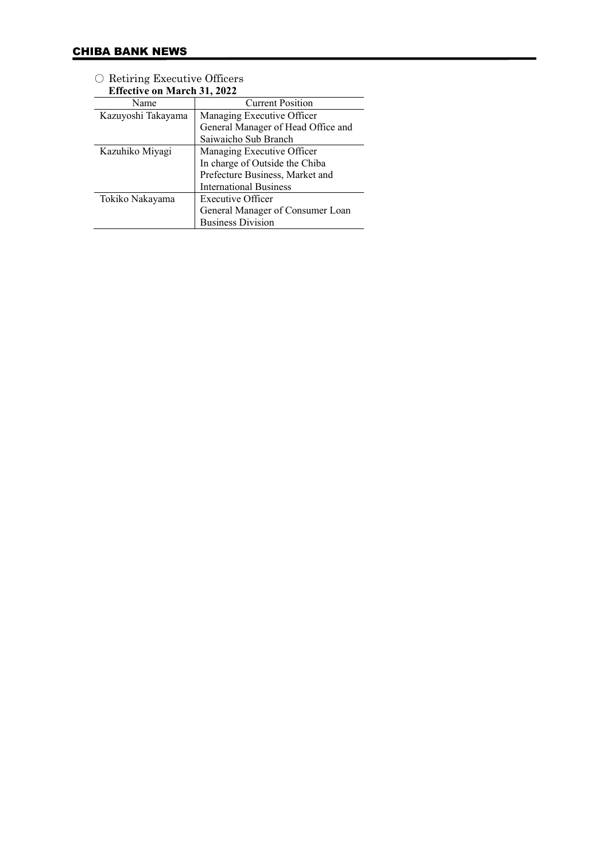| <b>Effective on March 31, 2022</b> |                                    |
|------------------------------------|------------------------------------|
| Name                               | <b>Current Position</b>            |
| Kazuyoshi Takayama                 | Managing Executive Officer         |
|                                    | General Manager of Head Office and |
|                                    | Saiwaicho Sub Branch               |
| Kazuhiko Miyagi                    | Managing Executive Officer         |
|                                    | In charge of Outside the Chiba     |
|                                    | Prefecture Business, Market and    |
|                                    | <b>International Business</b>      |
| Tokiko Nakayama                    | Executive Officer                  |
|                                    | General Manager of Consumer Loan   |
|                                    | <b>Business Division</b>           |

○ Retiring Executive Officers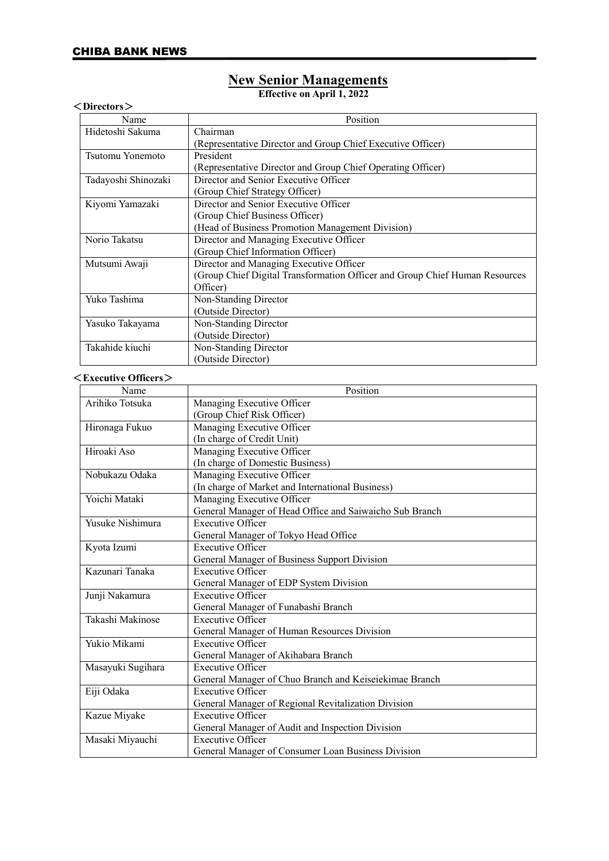## **New Senior Managements**

**Effective on April 1, 2022**

| $<$ Directors $>$   |                                                                             |
|---------------------|-----------------------------------------------------------------------------|
| Name                | Position                                                                    |
| Hidetoshi Sakuma    | Chairman                                                                    |
|                     | (Representative Director and Group Chief Executive Officer)                 |
| Tsutomu Yonemoto    | President                                                                   |
|                     | (Representative Director and Group Chief Operating Officer)                 |
| Tadayoshi Shinozaki | Director and Senior Executive Officer                                       |
|                     | (Group Chief Strategy Officer)                                              |
| Kiyomi Yamazaki     | Director and Senior Executive Officer                                       |
|                     | (Group Chief Business Officer)                                              |
|                     | (Head of Business Promotion Management Division)                            |
| Norio Takatsu       | Director and Managing Executive Officer                                     |
|                     | (Group Chief Information Officer)                                           |
| Mutsumi Awaji       | Director and Managing Executive Officer                                     |
|                     | (Group Chief Digital Transformation Officer and Group Chief Human Resources |
|                     | Officer)                                                                    |
| Yuko Tashima        | Non-Standing Director                                                       |
|                     | (Outside Director)                                                          |
| Yasuko Takayama     | Non-Standing Director                                                       |
|                     | (Outside Director)                                                          |
| Takahide kiuchi     | Non-Standing Director                                                       |
|                     | (Outside Director)                                                          |

#### <**Executive Officers**>

| Name              | Position                                                |
|-------------------|---------------------------------------------------------|
| Arihiko Totsuka   | Managing Executive Officer                              |
|                   | (Group Chief Risk Officer)                              |
| Hironaga Fukuo    | Managing Executive Officer                              |
|                   | (In charge of Credit Unit)                              |
| Hiroaki Aso       | Managing Executive Officer                              |
|                   | (In charge of Domestic Business)                        |
| Nobukazu Odaka    | Managing Executive Officer                              |
|                   | (In charge of Market and International Business)        |
| Yoichi Mataki     | Managing Executive Officer                              |
|                   | General Manager of Head Office and Saiwaicho Sub Branch |
| Yusuke Nishimura  | <b>Executive Officer</b>                                |
|                   | General Manager of Tokyo Head Office                    |
| Kyota Izumi       | <b>Executive Officer</b>                                |
|                   | General Manager of Business Support Division            |
| Kazunari Tanaka   | <b>Executive Officer</b>                                |
|                   | General Manager of EDP System Division                  |
| Junji Nakamura    | <b>Executive Officer</b>                                |
|                   | General Manager of Funabashi Branch                     |
| Takashi Makinose  | Executive Officer                                       |
|                   | General Manager of Human Resources Division             |
| Yukio Mikami      | <b>Executive Officer</b>                                |
|                   | General Manager of Akihabara Branch                     |
| Masayuki Sugihara | <b>Executive Officer</b>                                |
|                   | General Manager of Chuo Branch and Keiseiekimae Branch  |
| Eiji Odaka        | Executive Officer                                       |
|                   | General Manager of Regional Revitalization Division     |
| Kazue Miyake      | <b>Executive Officer</b>                                |
|                   | General Manager of Audit and Inspection Division        |
| Masaki Miyauchi   | <b>Executive Officer</b>                                |
|                   | General Manager of Consumer Loan Business Division      |